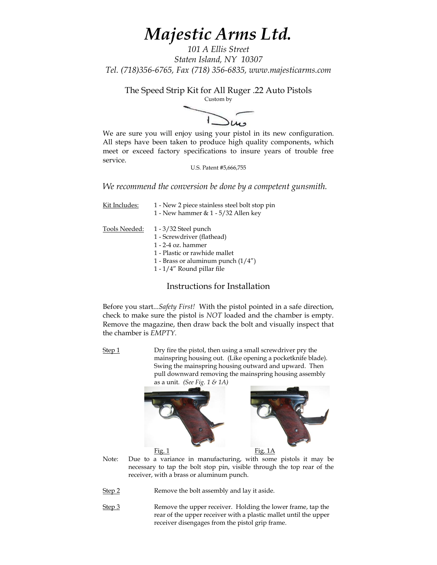# *Majestic Arms Ltd.*

*101 A Ellis Street Staten Island, NY 10307 Tel. (718)356-6765, Fax (718) 356-6835, www.majesticarms.com*

The Speed Strip Kit for All Ruger .22 Auto Pistols



We are sure you will enjoy using your pistol in its new configuration. All steps have been taken to produce high quality components, which meet or exceed factory specifications to insure years of trouble free service.

U.S. Patent #5,666,755

*We recommend the conversion be done by a competent gunsmith.*

| Kit Includes: | 1 - New 2 piece stainless steel bolt stop pin<br>1 - New hammer & $1 - 5/32$ Allen key                                                                                                 |
|---------------|----------------------------------------------------------------------------------------------------------------------------------------------------------------------------------------|
| Tools Needed: | $1 - 3/32$ Steel punch<br>1 - Screwdriver (flathead)<br>$1 - 2 - 4$ oz. hammer<br>1 - Plastic or rawhide mallet<br>1 - Brass or aluminum punch $(1/4'')$<br>1 - 1/4" Round pillar file |

Instructions for Installation

Before you start...*Safety First!* With the pistol pointed in a safe direction, check to make sure the pistol is *NOT* loaded and the chamber is empty. Remove the magazine, then draw back the bolt and visually inspect that the chamber is *EMPTY.*

Step 1 Dry fire the pistol, then using a small screwdriver pry the mainspring housing out. (Like opening a pocketknife blade). Swing the mainspring housing outward and upward. Then pull downward removing the mainspring housing assembly as a unit. *(See Fig. 1 & 1A)*



Note: Due to a variance in manufacturing, with some pistols it may be necessary to tap the bolt stop pin, visible through the top rear of the receiver, with a brass or aluminum punch.

Step 2 Remove the bolt assembly and lay it aside.

Step 3 Remove the upper receiver. Holding the lower frame, tap the rear of the upper receiver with a plastic mallet until the upper receiver disengages from the pistol grip frame.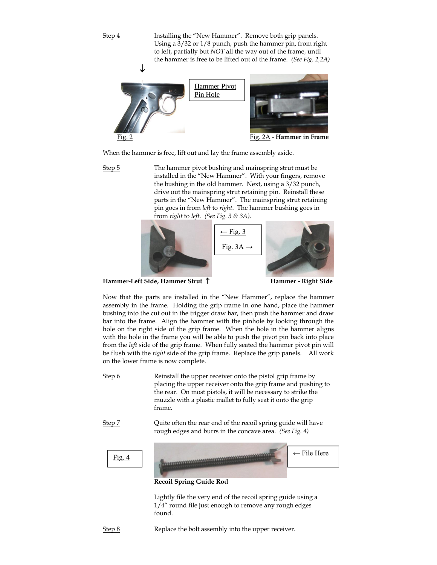Step 4 Installing the "New Hammer". Remove both grip panels. Using a 3/32 or 1/8 punch, push the hammer pin, from right to left, partially but *NOT* all the way out of the frame, until the hammer is free to be lifted out of the frame. *(See Fig. 2,2A)*



When the hammer is free, lift out and lay the frame assembly aside.

Step 5 The hammer pivot bushing and mainspring strut must be installed in the "New Hammer". With your fingers, remove the bushing in the old hammer. Next, using a 3/32 punch, drive out the mainspring strut retaining pin. Reinstall these parts in the "New Hammer". The mainspring strut retaining pin goes in from *left* to *right*. The hammer bushing goes in from *right* to *left*. *(See Fig. 3 & 3A).*



**Hammer-Left Side, Hammer Strut Hammer - Right Side**

Now that the parts are installed in the "New Hammer", replace the hammer assembly in the frame. Holding the grip frame in one hand, place the hammer bushing into the cut out in the trigger draw bar, then push the hammer and draw bar into the frame. Align the hammer with the pinhole by looking through the hole on the right side of the grip frame. When the hole in the hammer aligns with the hole in the frame you will be able to push the pivot pin back into place from the *left* side of the grip frame. When fully seated the hammer pivot pin will be flush with the *right* side of the grip frame. Replace the grip panels. All work on the lower frame is now complete.

- Step 6 Reinstall the upper receiver onto the pistol grip frame by placing the upper receiver onto the grip frame and pushing to the rear. On most pistols, it will be necessary to strike the muzzle with a plastic mallet to fully seat it onto the grip frame.
- Step 7 Cuite often the rear end of the recoil spring guide will have rough edges and burrs in the concave area. *(See Fig. 4)*



Lightly file the very end of the recoil spring guide using a 1/4" round file just enough to remove any rough edges found.

Step 8 Replace the bolt assembly into the upper receiver.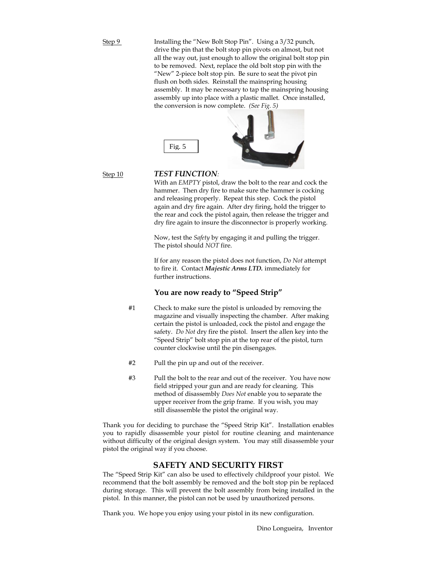Step 9 Installing the "New Bolt Stop Pin". Using a 3/32 punch, drive the pin that the bolt stop pin pivots on almost, but not all the way out, just enough to allow the original bolt stop pin to be removed. Next, replace the old bolt stop pin with the "New" 2-piece bolt stop pin. Be sure to seat the pivot pin flush on both sides. Reinstall the mainspring housing assembly. It may be necessary to tap the mainspring housing assembly up into place with a plastic mallet. Once installed, the conversion is now complete. *(See Fig. 5)*



#### Step 10 *TEST FUNCTION:*

With an *EMPTY* pistol, draw the bolt to the rear and cock the hammer. Then dry fire to make sure the hammer is cocking and releasing properly. Repeat this step. Cock the pistol again and dry fire again. After dry firing, hold the trigger to the rear and cock the pistol again, then release the trigger and dry fire again to insure the disconnector is properly working.

Now, test the *Safety* by engaging it and pulling the trigger. The pistol should *NOT* fire.

If for any reason the pistol does not function, *Do Not* attempt to fire it. Contact *Majestic Arms LTD.* immediately for further instructions.

### **You are now ready to "Speed Strip"**

- #1 Check to make sure the pistol is unloaded by removing the magazine and visually inspecting the chamber. After making certain the pistol is unloaded, cock the pistol and engage the safety. *Do Not* dry fire the pistol. Insert the allen key into the "Speed Strip" bolt stop pin at the top rear of the pistol, turn counter clockwise until the pin disengages.
- #2 Pull the pin up and out of the receiver.
- #3 Pull the bolt to the rear and out of the receiver. You have now field stripped your gun and are ready for cleaning. This method of disassembly *Does Not* enable you to separate the upper receiver from the grip frame. If you wish, you may still disassemble the pistol the original way.

Thank you for deciding to purchase the "Speed Strip Kit". Installation enables you to rapidly disassemble your pistol for routine cleaning and maintenance without difficulty of the original design system. You may still disassemble your pistol the original way if you choose.

#### **SAFETY AND SECURITY FIRST**

The "Speed Strip Kit" can also be used to effectively childproof your pistol. We recommend that the bolt assembly be removed and the bolt stop pin be replaced during storage. This will prevent the bolt assembly from being installed in the pistol. In this manner, the pistol can not be used by unauthorized persons.

Thank you. We hope you enjoy using your pistol in its new configuration.